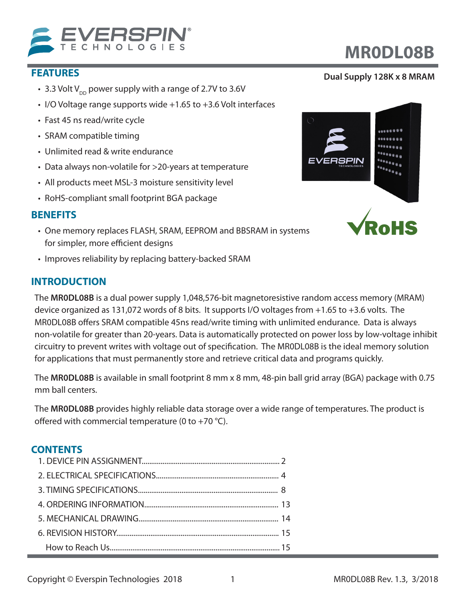

- 3.3 Volt  $V_{\text{DD}}$  power supply with a range of 2.7V to 3.6V
- I/O Voltage range supports wide +1.65 to +3.6 Volt interfaces
- Fast 45 ns read/write cycle
- SRAM compatible timing
- Unlimited read & write endurance
- Data always non-volatile for >20-years at temperature
- All products meet MSL-3 moisture sensitivity level
- RoHS-compliant small footprint BGA package

# **BENEFITS**

- One memory replaces FLASH, SRAM, EEPROM and BBSRAM in systems for simpler, more efficient designs
- Improves reliability by replacing battery-backed SRAM

# **INTRODUCTION**

The **MR0DL08B** is a dual power supply 1,048,576-bit magnetoresistive random access memory (MRAM) device organized as 131,072 words of 8 bits. It supports I/O voltages from +1.65 to +3.6 volts. The MR0DL08B offers SRAM compatible 45ns read/write timing with unlimited endurance. Data is always non-volatile for greater than 20-years. Data is automatically protected on power loss by low-voltage inhibit circuitry to prevent writes with voltage out of specification. The MR0DL08B is the ideal memory solution for applications that must permanently store and retrieve critical data and programs quickly.

The **MR0DL08B** is available in small footprint 8 mm x 8 mm, 48-pin ball grid array (BGA) package with 0.75 mm ball centers.

The **MR0DL08B** provides highly reliable data storage over a wide range of temperatures. The product is offered with commercial temperature (0 to +70  $^{\circ}$ C).

# **CONTENTS**

# **FEATURES** Dual Supply 128K x 8 MRAM

**MR0DL08B**

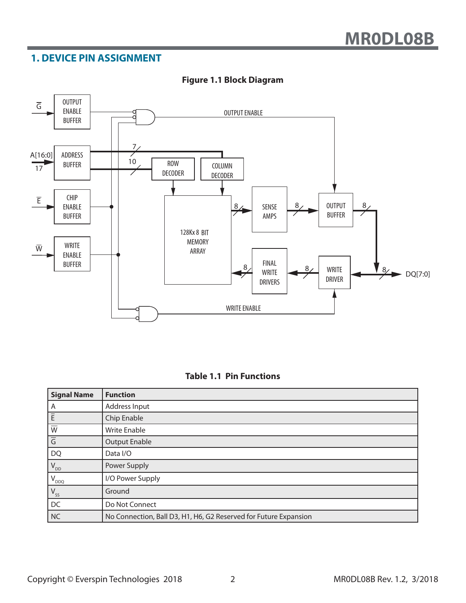# **1. DEVICE PIN ASSIGNMENT**



# **Figure 1.1 Block Diagram**

| <b>Table 1.1 Pin Functions</b> |  |  |  |  |
|--------------------------------|--|--|--|--|
|--------------------------------|--|--|--|--|

| <b>Signal Name</b>        | <b>Function</b>                                                  |
|---------------------------|------------------------------------------------------------------|
| A                         | Address Input                                                    |
| F                         | Chip Enable                                                      |
| $\overline{\overline{w}}$ | <b>Write Enable</b>                                              |
| $\overline{5}$            | <b>Output Enable</b>                                             |
| DQ                        | Data I/O                                                         |
| $V_{DD}$                  | Power Supply                                                     |
| $V_{DDQ}$                 | I/O Power Supply                                                 |
| $V_{ss}$                  | Ground                                                           |
| $\overline{\mathsf{DC}}$  | Do Not Connect                                                   |
| $\overline{\mathsf{NC}}$  | No Connection, Ball D3, H1, H6, G2 Reserved for Future Expansion |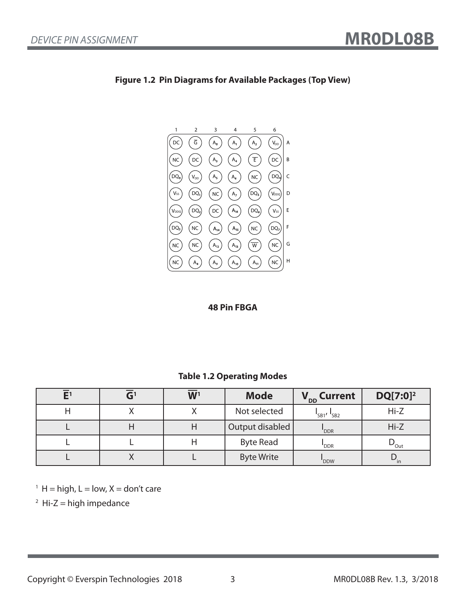

#### **Figure 1.2 Pin Diagrams for Available Packages (Top View)**

#### **48 Pin FBGA**

#### **Table 1.2 Operating Modes**

|  | $\overline{\mathbf{W}}$ <sup>1</sup> | <b>Mode</b>       | V <sub>DD</sub> Current          | $DQ[7:0]^2$                |
|--|--------------------------------------|-------------------|----------------------------------|----------------------------|
|  |                                      | Not selected      | $\frac{I_{SB1}I_{SB2}}{I_{SB2}}$ | $Hi-Z$                     |
|  |                                      | Output disabled   | "DDR                             | $Hi-Z$                     |
|  |                                      | <b>Byte Read</b>  | "DDR                             | $\nu_{\text{Out}}$         |
|  |                                      | <b>Byte Write</b> | 'DDW                             | $\mathbf{v}_{\mathsf{in}}$ |

 $<sup>1</sup>$  H = high, L = low, X = don't care</sup>

 $2$  Hi-Z = high impedance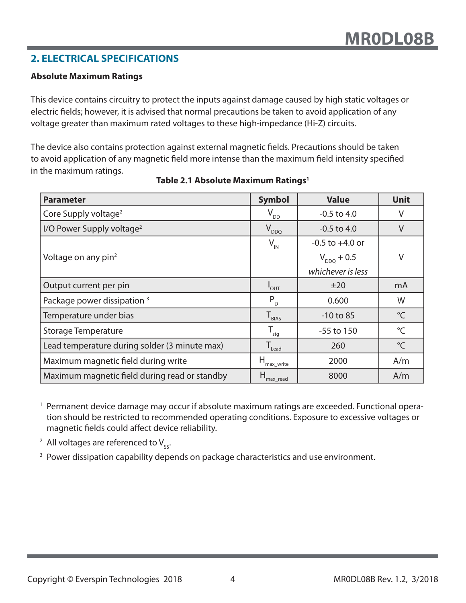# **2. ELECTRICAL SPECIFICATIONS**

#### **Absolute Maximum Ratings**

This device contains circuitry to protect the inputs against damage caused by high static voltages or electric fields; however, it is advised that normal precautions be taken to avoid application of any voltage greater than maximum rated voltages to these high-impedance (Hi-Z) circuits.

The device also contains protection against external magnetic fields. Precautions should be taken to avoid application of any magnetic field more intense than the maximum field intensity specified in the maximum ratings.

| <b>Parameter</b>                              | <b>Symbol</b>                | <b>Value</b>        | <b>Unit</b>     |
|-----------------------------------------------|------------------------------|---------------------|-----------------|
| Core Supply voltage <sup>2</sup>              | $V_{DD}$                     | $-0.5$ to 4.0       |                 |
| I/O Power Supply voltage <sup>2</sup>         | $V_{DDQ}$                    | $-0.5$ to 4.0       | $\vee$          |
|                                               | $V_{\text{IN}}$              | $-0.5$ to $+4.0$ or |                 |
| Voltage on any pin <sup>2</sup>               |                              | $V_{DDO}$ + 0.5     | V               |
|                                               |                              | whichever is less   |                 |
| Output current per pin                        | $^{\mathsf{I}}$ out          | ±20                 | mA              |
| Package power dissipation <sup>3</sup>        | $P_{D}$                      | 0.600               | W               |
| Temperature under bias                        | $T_{BIAS}$                   | $-10$ to 85         | $\rm ^{\circ}C$ |
| <b>Storage Temperature</b>                    | $T_{\underline{\text{stg}}}$ | $-55$ to 150        | $^{\circ}$ C    |
| Lead temperature during solder (3 minute max) | $T_{\text{lead}}$            | 260                 | $^{\circ}$ C    |
| Maximum magnetic field during write           | н<br>max_write               | 2000                | A/m             |
| Maximum magnetic field during read or standby | Н<br>max_read                | 8000                | A/m             |

## **Table 2.1 Absolute Maximum Ratings1**

<sup>1</sup> Permanent device damage may occur if absolute maximum ratings are exceeded. Functional operation should be restricted to recommended operating conditions. Exposure to excessive voltages or magnetic fields could affect device reliability.

<sup>2</sup> All voltages are referenced to  $V_{sc}$ .

<sup>3</sup> Power dissipation capability depends on package characteristics and use environment.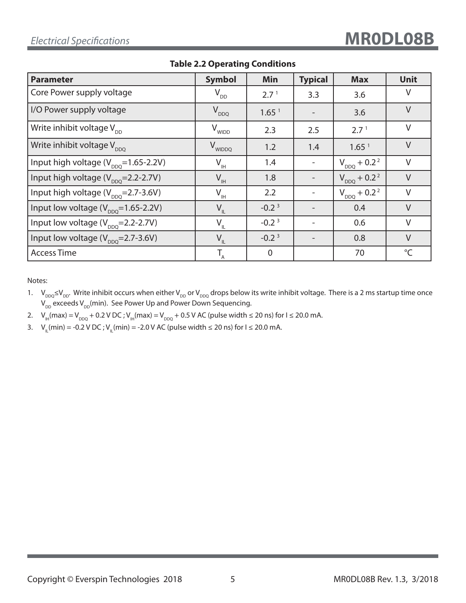| <b>Parameter</b>                               | <b>Symbol</b>                  | Min               | <b>Typical</b> | <b>Max</b>                   | <b>Unit</b> |
|------------------------------------------------|--------------------------------|-------------------|----------------|------------------------------|-------------|
| Core Power supply voltage                      | $V_{DD}$                       | 2.7 <sup>1</sup>  | 3.3            | 3.6                          | V           |
| I/O Power supply voltage                       | $V_{DDQ}$                      | 1.65 <sup>1</sup> |                | 3.6                          | $\vee$      |
| Write inhibit voltage $V_{DD}$                 | V <sub>WIDD</sub>              | 2.3               | 2.5            | 2.7 <sup>1</sup>             | $\vee$      |
| Write inhibit voltage V <sub>DDQ</sub>         | V <sub>WIDDQ</sub>             | 1.2               | 1.4            | 1.65 <sup>1</sup>            | $\vee$      |
| Input high voltage $(V_{DDO} = 1.65 - 2.2V)$   | $V_{\scriptscriptstyle\rm IH}$ | 1.4               |                | $V_{DDQ}$ + 0.2 <sup>2</sup> | $\vee$      |
| Input high voltage $(V_{\text{DDO}}=2.2-2.7V)$ | $V_{\rm IH}$                   | 1.8               |                | $V_{DDQ}$ + 0.2 <sup>2</sup> | $\vee$      |
| Input high voltage $(V_{\text{DDO}}=2.7-3.6V)$ | $V_{\rm IH}$                   | 2.2               |                | $V_{DDQ} + 0.2^2$            | $\vee$      |
| Input low voltage $(V_{\text{DDO}}=1.65-2.2V)$ | $V_{IL}$                       | $-0.23$           |                | 0.4                          | $\vee$      |
| Input low voltage $(V_{\text{DDO}}=2.2-2.7V)$  | $V_{IL}$                       | $-0.23$           |                | 0.6                          | $\vee$      |
| Input low voltage $(V_{\text{DDO}}=2.7-3.6V)$  | $V_{IL}$                       | $-0.23$           |                | 0.8                          | $\vee$      |
| <b>Access Time</b>                             | $T_{A}$                        | $\overline{0}$    |                | 70                           | $^{\circ}C$ |

# **Table 2.2 Operating Conditions**

Notes:

- 1.  $V_{DDQ} \le V_{DD}$ . Write inhibit occurs when either V<sub>DD</sub> or V<sub>DDQ</sub> drops below its write inhibit voltage. There is a 2 ms startup time once  $V_{DD}$  exceeds  $V_{DD}$ (min). See Power Up and Power Down Sequencing.
- 2.  $V_{\text{IH}}(\text{max}) = V_{\text{DDQ}} + 0.2 \text{ V DC}$ ;  $V_{\text{IH}}(\text{max}) = V_{\text{DDQ}} + 0.5 \text{ V AC}$  (pulse width  $\leq 20$  ns) for  $I \leq 20.0 \text{ mA}$ .
- 3. V<sub>II</sub>(min) = -0.2 V DC ; V<sub>II</sub>(min) = -2.0 V AC (pulse width ≤ 20 ns) for I ≤ 20.0 mA.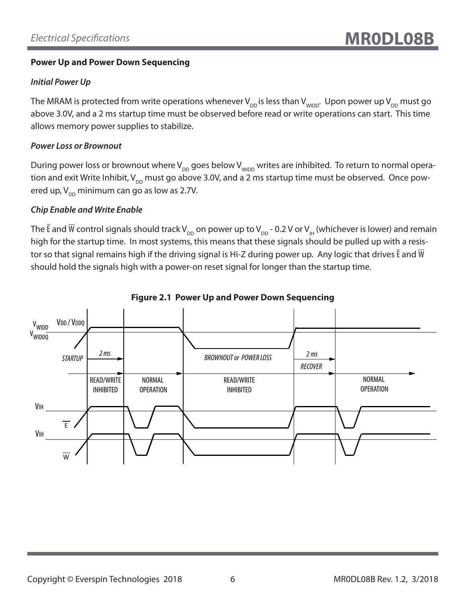### **Power Up and Power Down Sequencing**

#### *Initial Power Up*

The MRAM is protected from write operations whenever V<sub>DD</sub> is less than V<sub>WIDD</sub>. Upon power up V<sub>DD</sub> must go above 3.0V, and a 2 ms startup time must be observed before read or write operations can start. This time allows memory power supplies to stabilize.

#### *Power Loss or Brownout*

During power loss or brownout where  $V_{DD}$  goes below  $V_{WDD}$  writes are inhibited. To return to normal operation and exit Write Inhibit,  $V_{DD}$  must go above 3.0V, and a 2 ms startup time must be observed. Once powered up,  $V_{\text{DD}}$  minimum can go as low as 2.7V.

## *Chip Enable and Write Enable*

The  $\bar{E}$  and  $\bar{W}$  control signals should track V<sub>DD</sub> on power up to V<sub>DD</sub> - 0.2 V or V<sub>IH</sub> (whichever is lower) and remain high for the startup time. In most systems, this means that these signals should be pulled up with a resistor so that signal remains high if the driving signal is Hi-Z during power up. Any logic that drives E and W should hold the signals high with a power-on reset signal for longer than the startup time.



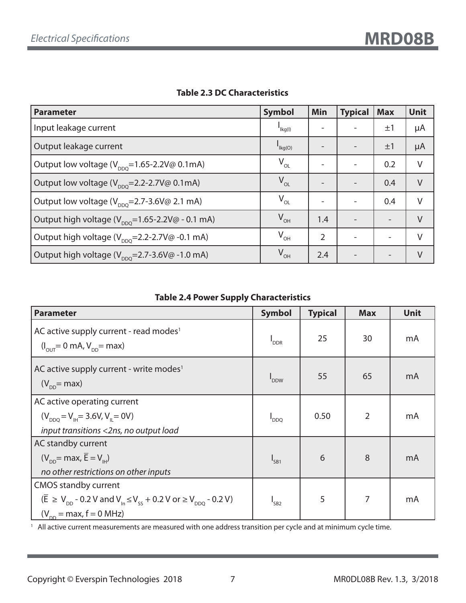| <b>Parameter</b>                                                               | <b>Symbol</b>                          | Min | <b>Typical</b> | <b>Max</b>               | <b>Unit</b> |
|--------------------------------------------------------------------------------|----------------------------------------|-----|----------------|--------------------------|-------------|
| Input leakage current                                                          | $I_{\text{lkg(l)}}$                    |     |                | $\pm 1$                  | μA          |
| Output leakage current                                                         | $\mathsf{I}_{\mathsf{Kg}(\mathsf{O})}$ |     |                | ±1                       | μA          |
| Output low voltage ( $V_{DDO}$ =1.65-2.2V@ 0.1mA)                              | $V_{OL}$                               |     |                | 0.2                      | V           |
| Output low voltage $(V_{\text{ppo}}=2.2-2.7V\textcircled{0.1mA})$              | $V_{OL}$                               |     |                | 0.4                      | $\vee$      |
| Output low voltage ( $V_{\text{DDO}}$ =2.7-3.6V@ 2.1 mA)                       | $V_{OL}$                               |     |                | 0.4                      | V           |
| Output high voltage ( $V_{\text{DDO}}$ =1.65-2.2V@ - 0.1 mA)                   | $V_{OH}$                               | 1.4 |                |                          | $\vee$      |
| Output high voltage $(V_{\text{DDO}}=2.2-2.7V\textcircled{a} -0.1 \text{ mA})$ | $V_{\text{OH}}$                        | 2   |                | $\overline{\phantom{0}}$ | V           |
| Output high voltage ( $V_{\text{pno}}$ =2.7-3.6V@ -1.0 mA)                     | $V_{OH}$                               | 2.4 |                | $\overline{\phantom{0}}$ | V           |

# **Table 2.3 DC Characteristics**

# **Table 2.4 Power Supply Characteristics**

| <b>Parameter</b>                                                                                                                                                                                           | <b>Symbol</b>    | <b>Typical</b> | <b>Max</b> | Unit |
|------------------------------------------------------------------------------------------------------------------------------------------------------------------------------------------------------------|------------------|----------------|------------|------|
| AC active supply current - read modes <sup>1</sup><br>$(l_{\text{out}} = 0 \text{ mA}, V_{\text{DD}} = \text{max})$                                                                                        | <b>PDDR</b>      | 25             | 30         | mA   |
| AC active supply current - write modes <sup>1</sup><br>$(V_{\text{DD}}$ = max)                                                                                                                             | <b>DDW</b>       | 55             | 65         | mA   |
| AC active operating current<br>$(V_{DDO} = V_{\text{H}} = 3.6 V, V_{\text{H}} = 0 V)$<br>input transitions <2ns, no output load                                                                            | $I_{DDQ}$        | 0.50           | 2          | mA   |
| AC standby current<br>$(V_{\text{DD}} = \text{max}, E = V_{\text{H}})$<br>no other restrictions on other inputs                                                                                            | $I_{SB1}$        | 6              | 8          | mA   |
| <b>CMOS standby current</b><br>$(\overline{E}$ ≥ V <sub>nn</sub> - 0.2 V and V <sub>In</sub> ≤ V <sub>ss</sub> + 0.2 V or ≥ V <sub>DDO</sub> - 0.2 V)<br>$(V_{\text{DD}} = \text{max}, f = 0 \text{ MHz})$ | I <sub>SB2</sub> | 5              | 7          | mA   |

 $1$  All active current measurements are measured with one address transition per cycle and at minimum cycle time.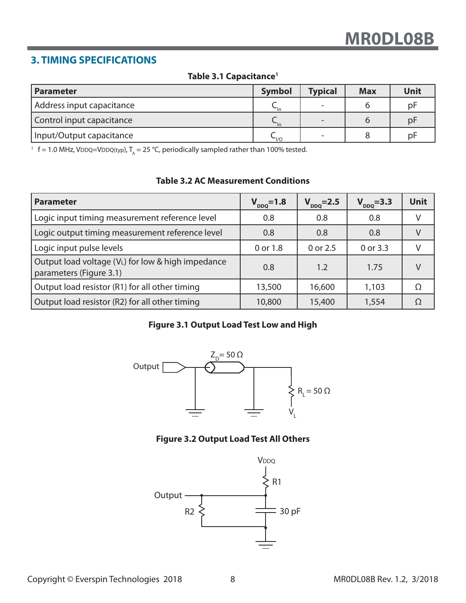# **3. TIMING SPECIFICATIONS**

**Table 3.1 Capacitance1**

| <b>Parameter</b>          | <b>Symbol</b>        | <b>Typical</b> | <b>Max</b> | <b>Unit</b> |
|---------------------------|----------------------|----------------|------------|-------------|
| Address input capacitance | $\mathsf{u}$         |                |            | рF          |
| Control input capacitance | $\nightharpoonup$ In |                |            | pF          |
| Input/Output capacitance  | $\sim$               |                |            | рF          |

<sup>1</sup> f = 1.0 MHz, VDDQ=VDDQ(typ),  $T_A$  = 25 °C, periodically sampled rather than 100% tested.

## **Table 3.2 AC Measurement Conditions**

| <b>Parameter</b>                                                             | $V_{\text{DDQ}} = 1.8$ | $V_{\text{DDO}} = 2.5$ | $V_{DDQ} = 3.3$ | Unit |
|------------------------------------------------------------------------------|------------------------|------------------------|-----------------|------|
| Logic input timing measurement reference level                               | 0.8                    | 0.8                    | 0.8             |      |
| Logic output timing measurement reference level                              | 0.8                    | 0.8                    | 0.8             |      |
| Logic input pulse levels                                                     | 0 or 1.8               | 0 or 2.5               | 0 or 3.3        |      |
| Output load voltage (VL) for low & high impedance<br>parameters (Figure 3.1) | 0.8                    | 1.2                    | 1.75            | V    |
| Output load resistor (R1) for all other timing                               | 13,500                 | 16,600                 | 1,103           | Ω    |
| Output load resistor (R2) for all other timing                               | 10,800                 | 15,400                 | 1,554           |      |

# **Figure 3.1 Output Load Test Low and High**



#### **Figure 3.2 Output Load Test All Others**

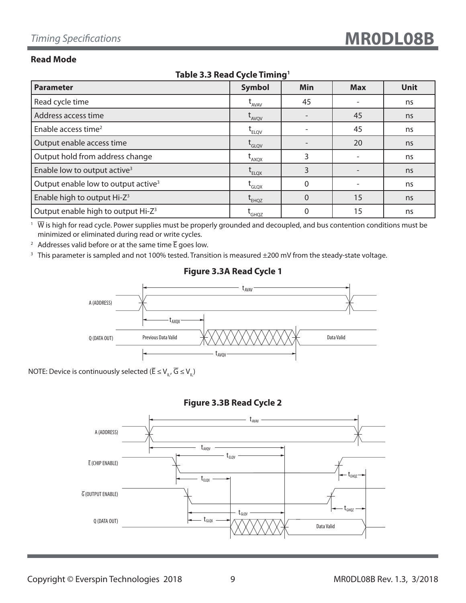## **Read Mode**

| <b>Replace 2:3</b> Read Cycle Hilling           |                                   |          |            |             |  |  |  |  |  |
|-------------------------------------------------|-----------------------------------|----------|------------|-------------|--|--|--|--|--|
| <b>Parameter</b>                                | <b>Symbol</b>                     | Min      | <b>Max</b> | <b>Unit</b> |  |  |  |  |  |
| Read cycle time                                 | $t_{AVAV}$                        | 45       |            | ns          |  |  |  |  |  |
| Address access time                             | $t_{AVQV}$                        |          | 45         | ns          |  |  |  |  |  |
| Enable access time <sup>2</sup>                 | $\mathsf{t}_{\text{\tiny{ELOV}}}$ |          | 45         | ns          |  |  |  |  |  |
| Output enable access time                       | $t_{\text{GLOV}}$                 |          | 20         | ns          |  |  |  |  |  |
| Output hold from address change                 | $L_{AXQX}$                        | 3        |            | ns          |  |  |  |  |  |
| Enable low to output active <sup>3</sup>        | $L_{ELOX}$                        | 3        |            | ns          |  |  |  |  |  |
| Output enable low to output active <sup>3</sup> | $t_{\text{GLQX}}$                 | $\Omega$ |            | ns          |  |  |  |  |  |
| Enable high to output Hi-Z <sup>3</sup>         | $\mathfrak{t}_{\texttt{EHQZ}}$    | $\Omega$ | 15         | ns          |  |  |  |  |  |
| Output enable high to output Hi-Z <sup>3</sup>  | <b>L</b> GHQZ                     | 0        | 15         | ns          |  |  |  |  |  |

**Table 3.3 Read Cycle Timing1**

 $1\;\overline{W}$  is high for read cycle. Power supplies must be properly grounded and decoupled, and bus contention conditions must be minimized or eliminated during read or write cycles.

<sup>2</sup> Addresses valid before or at the same time  $\overline{E}$  goes low.

<sup>3</sup> This parameter is sampled and not 100% tested. Transition is measured ±200 mV from the steady-state voltage.

# A (ADDRESS) Q (DATA OUT) t<sub>AVAV</sub> t<sub>AXQX</sub> t<sub>AVOV</sub> Previous Data Valid Data Valid

**Figure 3.3A Read Cycle 1**

NOTE: Device is continuously selected ( $\overline{\mathsf{E}} \leq \mathsf{V}_{\mathsf{IL}'}$   $\overline{\mathsf{G}} \leq \mathsf{V}_{\mathsf{IL}}$ )

**Figure 3.3B Read Cycle 2**

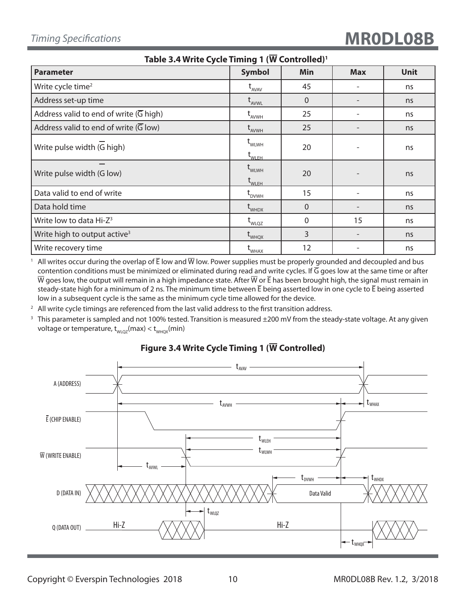| Table 5.4 write Cycle Timing T (W Controlled)       |                                                                      |                |            |             |  |  |  |  |  |
|-----------------------------------------------------|----------------------------------------------------------------------|----------------|------------|-------------|--|--|--|--|--|
| <b>Parameter</b>                                    | <b>Symbol</b>                                                        | Min            | <b>Max</b> | <b>Unit</b> |  |  |  |  |  |
| Write cycle time <sup>2</sup>                       | $t_{AVAV}$                                                           | 45             | -          | ns          |  |  |  |  |  |
| Address set-up time                                 | $t_{AVWL}$                                                           | $\mathbf 0$    |            | ns          |  |  |  |  |  |
| Address valid to end of write $(\overline{G}$ high) | $\operatorname{t}_{_{\scriptscriptstyle\text{AVWH}}}$                | 25             |            | ns          |  |  |  |  |  |
| Address valid to end of write $(\overline{G}$ low)  | $t_{AVWH}$                                                           | 25             |            | ns          |  |  |  |  |  |
| Write pulse width (G high)                          | $t_{\text{WLWH}}$<br>$\operatorname{t}_{\text{WLEH}}$                | 20             |            | ns          |  |  |  |  |  |
| Write pulse width (G low)                           | $\operatorname{t}_{\text{WLWH}}$<br>$\operatorname{t}_{\text{WLEH}}$ | 20             |            | ns          |  |  |  |  |  |
| Data valid to end of write                          | $t_{_{\rm{DVWH}}}$                                                   | 15             |            | ns          |  |  |  |  |  |
| Data hold time                                      | $t_{\text{whDX}}$                                                    | $\overline{0}$ |            | ns          |  |  |  |  |  |
| Write low to data Hi-Z <sup>3</sup>                 | $t_{WLQZ}$                                                           | 0              | 15         | ns          |  |  |  |  |  |
| Write high to output active <sup>3</sup>            | $t_{\text{WHQX}}$                                                    | 3              |            | ns          |  |  |  |  |  |
| Write recovery time                                 | <b>WHAX</b>                                                          | 12             |            | ns          |  |  |  |  |  |

**Table 3.4 Write Cycle Timing 1 (W Controlled)1**

<sup>1</sup> All writes occur during the overlap of  $\overline{E}$  low and  $\overline{W}$  low. Power supplies must be properly grounded and decoupled and bus contention conditions must be minimized or eliminated during read and write cycles. If  $\overline{G}$  goes low at the same time or after  $\overline{W}$  goes low, the output will remain in a high impedance state. After  $\overline{W}$  or  $\overline{E}$  has been brought high, the signal must remain in steady-state high for a minimum of 2 ns. The minimum time between  $\bar{E}$  being asserted low in one cycle to  $\bar{E}$  being asserted low in a subsequent cycle is the same as the minimum cycle time allowed for the device.

 $2$  All write cycle timings are referenced from the last valid address to the first transition address.

<sup>3</sup> This parameter is sampled and not 100% tested. Transition is measured  $\pm 200$  mV from the steady-state voltage. At any given voltage or temperature,  $t_{w_{\text{UQZ}}}(\text{max}) < t_{w_{\text{HQX}}}(\text{min})$ 



# **Figure 3.4 Write Cycle Timing 1 (W Controlled)**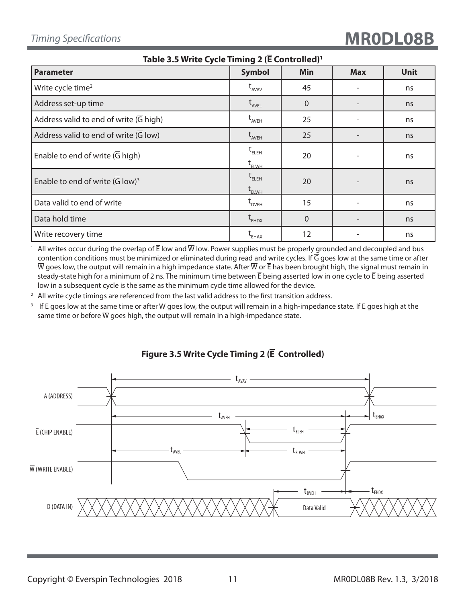| Table 3.5 Write Cycle Timing 2 (E Controlled) <sup>1</sup> |                                                                    |          |            |             |  |
|------------------------------------------------------------|--------------------------------------------------------------------|----------|------------|-------------|--|
| <b>Parameter</b>                                           | <b>Symbol</b>                                                      | Min      | <b>Max</b> | <b>Unit</b> |  |
| Write cycle time <sup>2</sup>                              | $t_{AVAV}$                                                         | 45       |            | ns          |  |
| Address set-up time                                        | $t_{AVEL}$                                                         | $\Omega$ |            | ns          |  |
| Address valid to end of write $(G$ high)                   | $\operatorname{t}_{\scriptscriptstyle\text{AVEH}}$                 | 25       |            | ns          |  |
| Address valid to end of write (G low)                      | $t_{AVEH}$                                                         | 25       |            | ns          |  |
| Enable to end of write (G high)                            | $t_{ELEH}$<br>$\operatorname{t}_{\scriptscriptstyle\mathrm{ELWH}}$ | 20       |            | ns          |  |
| Enable to end of write $(G \text{ low})^3$                 | $t_{ELEH}$<br>$\operatorname{t}_{\scriptscriptstyle\mathrm{ELWH}}$ | 20       |            | ns          |  |
| Data valid to end of write                                 | $\operatorname{t}_{\text{\tiny{DVEH}}}$                            | 15       |            | ns          |  |
| Data hold time                                             | $\mathsf{t}_{\mathsf{EHDX}}$                                       | $\Omega$ |            | ns          |  |
| Write recovery time                                        | $L$ <sub>EHAX</sub>                                                | 12       |            | ns          |  |

All writes occur during the overlap of  $\bar{E}$  low and  $\bar{W}$  low. Power supplies must be properly grounded and decoupled and bus contention conditions must be minimized or eliminated during read and write cycles. If  $\overline{G}$  goes low at the same time or after  $\overline{W}$  goes low, the output will remain in a high impedance state. After  $\overline{W}$  or  $\overline{E}$  has been brought high, the signal must remain in steady-state high for a minimum of 2 ns. The minimum time between E being asserted low in one cycle to E being asserted low in a subsequent cycle is the same as the minimum cycle time allowed for the device.

 $2$  All write cycle timings are referenced from the last valid address to the first transition address.

<sup>3</sup> If  $\bar{E}$  goes low at the same time or after  $\bar{W}$  goes low, the output will remain in a high-impedance state. If  $\bar{E}$  goes high at the same time or before  $\overline{W}$  goes high, the output will remain in a high-impedance state.



# **Figure 3.5 Write Cycle Timing 2 (E Controlled)**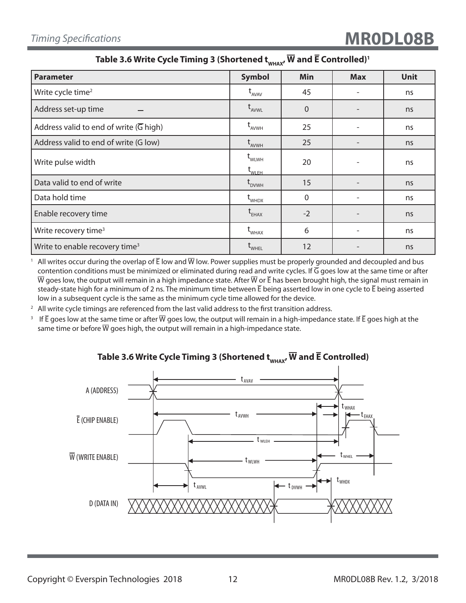| <b>Parameter</b>                                    | <b>Symbol</b>                                           | Min      | <b>Max</b> | <b>Unit</b> |
|-----------------------------------------------------|---------------------------------------------------------|----------|------------|-------------|
| Write cycle time <sup>2</sup>                       | $t_{AVAV}$                                              | 45       |            | ns          |
| Address set-up time                                 | $t_{AVWL}$                                              | $\Omega$ |            | ns          |
| Address valid to end of write $(\overline{G}$ high) | $\operatorname{t}_{\scriptscriptstyle\mathsf{AVWH}}$    | 25       |            | ns          |
| Address valid to end of write (G low)               | $t_{AVWH}$                                              | 25       |            | ns          |
| Write pulse width                                   | $t_{\text{WLWH}}$<br>$\mathsf{t}_{\mathsf{WLEH}}$       | 20       |            | ns          |
| Data valid to end of write                          | $t_{DVMH}$                                              | 15       |            | ns          |
| Data hold time                                      | $t_{\text{whDX}}$                                       | $\Omega$ |            | ns          |
| Enable recovery time                                | $\mathsf{t}_{\mathsf{E}\textsf{H}\textsf{A}\textsf{X}}$ | $-2$     |            | ns          |
| Write recovery time <sup>3</sup>                    | $t_{\text{WHAX}}$                                       | 6        |            | ns          |
| Write to enable recovery time <sup>3</sup>          | <b>WHEL</b>                                             | 12       |            | ns          |

<sup>1</sup> All writes occur during the overlap of  $\bar{E}$  low and  $\overline{W}$  low. Power supplies must be properly grounded and decoupled and bus contention conditions must be minimized or eliminated during read and write cycles. If  $\overline{G}$  goes low at the same time or after  $\overline{W}$  goes low, the output will remain in a high impedance state. After  $\overline{W}$  or  $\overline{E}$  has been brought high, the signal must remain in steady-state high for a minimum of 2 ns. The minimum time between  $\bar{E}$  being asserted low in one cycle to  $\bar{E}$  being asserted low in a subsequent cycle is the same as the minimum cycle time allowed for the device.

 $2$  All write cycle timings are referenced from the last valid address to the first transition address.

<sup>3</sup> If  $\bar{E}$  goes low at the same time or after  $\bar{W}$  goes low, the output will remain in a high-impedance state. If  $\bar{E}$  goes high at the same time or before  $\overline{W}$  goes high, the output will remain in a high-impedance state.



Table 3.6 Write Cycle Timing 3 (Shortened  $t_{w\text{max}}$ ,  $\overline{W}$  and  $\overline{E}$  Controlled)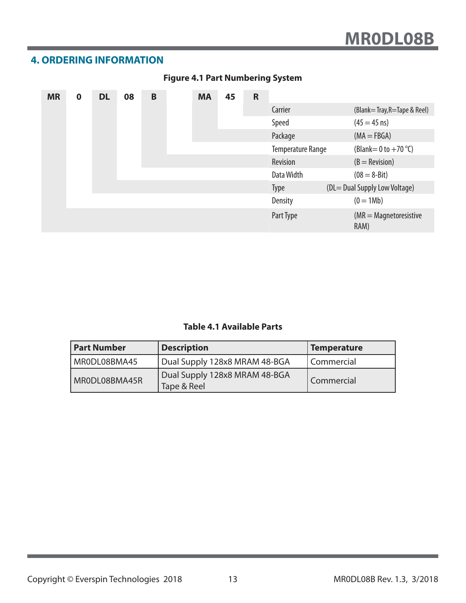# **4. ORDERING INFORMATION**

| <b>MR</b> | $\bf{0}$ | <b>DL</b> | 08 | B | <b>MA</b> | 45 | $\mathsf{R}$ |                   |                                      |
|-----------|----------|-----------|----|---|-----------|----|--------------|-------------------|--------------------------------------|
|           |          |           |    |   |           |    |              | Carrier           | (Blank=Tray, R=Tape & Reel)          |
|           |          |           |    |   |           |    |              | Speed             | $(45 = 45 \text{ ns})$               |
|           |          |           |    |   |           |    |              | Package           | $(MA = FBGA)$                        |
|           |          |           |    |   |           |    |              | Temperature Range | (Blank = 0 to $+70$ °C)              |
|           |          |           |    |   |           |    |              | Revision          | $(B = \text{Revision})$              |
|           |          |           |    |   |           |    |              | Data Width        | $(08 = 8 - Bit)$                     |
|           |          |           |    |   |           |    |              | <b>Type</b>       | (DL= Dual Supply Low Voltage)        |
|           |          |           |    |   |           |    |              | Density           | $(0 = 1Mb)$                          |
|           |          |           |    |   |           |    |              | Part Type         | $(MR = Magnetic resistance)$<br>RAM) |

# **Figure 4.1 Part Numbering System**

# **Table 4.1 Available Parts**

| <b>Part Number</b> | <b>Description</b>                           | <b>Temperature</b>      |
|--------------------|----------------------------------------------|-------------------------|
| MRODLO8BMA45       | Dual Supply 128x8 MRAM 48-BGA                | Commercial              |
| MR0DL08BMA45R      | Dual Supply 128x8 MRAM 48-BGA<br>Tape & Reel | <sup>I</sup> Commercial |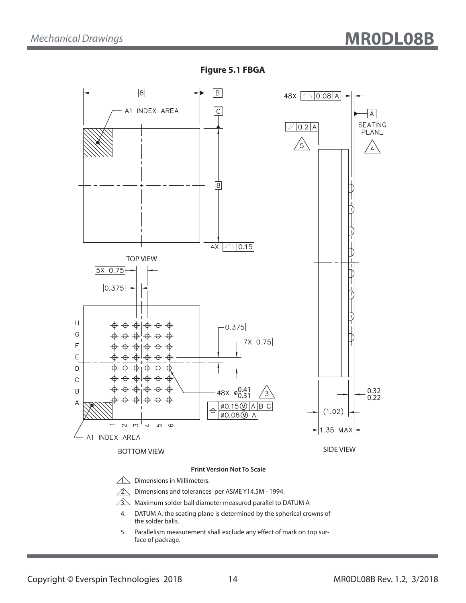



5. Parallelism measurement shall exclude any effect of mark on top surface of package.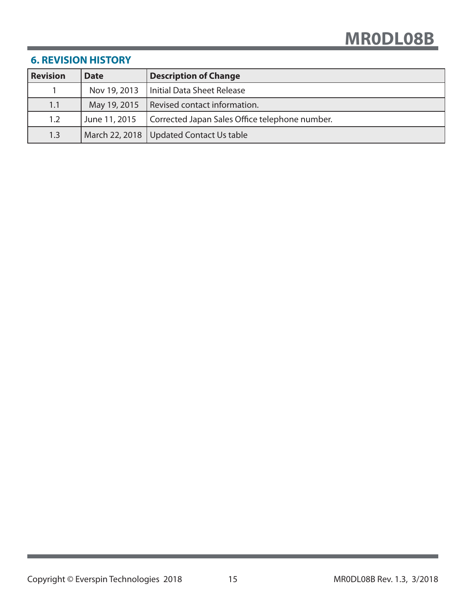# **6. REVISION HISTORY**

| <b>Revision</b> | <b>Date</b>   | <b>Description of Change</b>                   |
|-----------------|---------------|------------------------------------------------|
|                 | Nov 19, 2013  | Initial Data Sheet Release                     |
| 1.1             |               | May 19, 2015   Revised contact information.    |
| 1.2             | June 11, 2015 | Corrected Japan Sales Office telephone number. |
| 1.3             |               | March 22, 2018   Updated Contact Us table      |